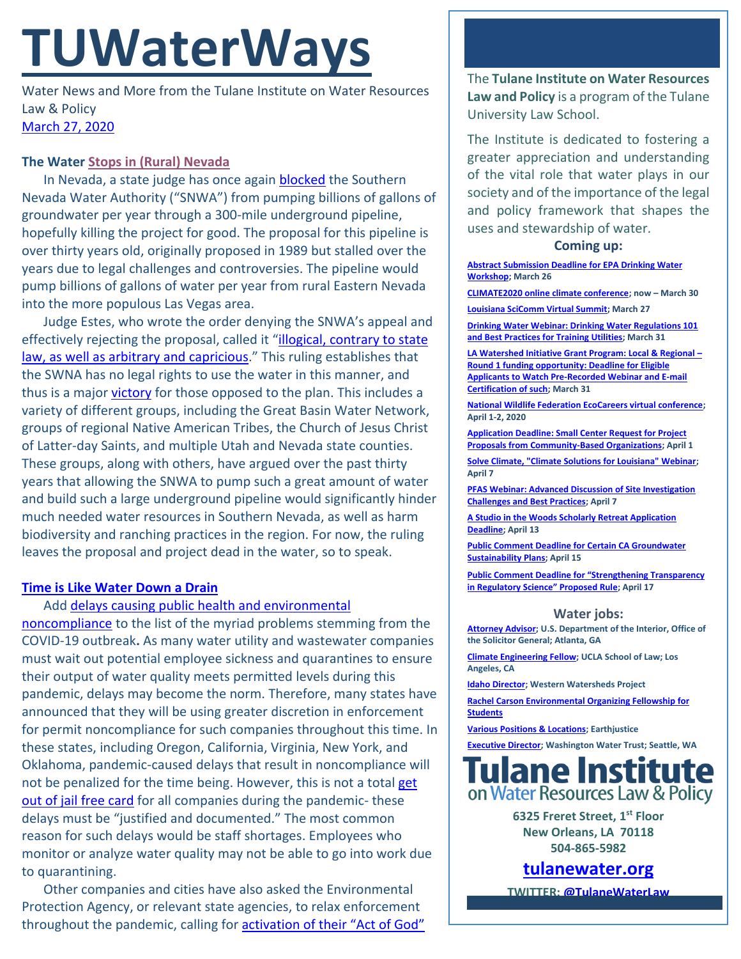# **TUWaterWays**

Water News and More from the Tulane Institute on Water Resources Law & Policy [March 27, 2020](https://thisdayinwaterhistory.wordpress.com/)

# **The Water [Stops in \(Rural\) Nevada](https://www.youtube.com/watch?v=ri786Rt2KwM)**

In Nevada, a state judge has once again **[blocked](https://elynews.com/2020/03/14/courts-again-strike-down-snwa-effort-for-pipeline/)** the Southern Nevada Water Authority ("SNWA") from pumping billions of gallons of groundwater per year through a 300-mile underground pipeline, hopefully killing the project for good. The proposal for this pipeline is over thirty years old, originally proposed in 1989 but stalled over the years due to legal challenges and controversies. The pipeline would pump billions of gallons of water per year from rural Eastern Nevada into the more populous Las Vegas area.

Judge Estes, who wrote the order denying the SNWA's appeal and effectively rejecting the proposal, called it "illogical, contrary to state [law, as well as arbitrary and capricious](https://elkodaily.com/opinion/columnists/thomas-mitchell-rural-water-grab-may-be-dead-in-the/article_45e5578f-07ab-51f0-a09c-d75cc03fe5a4.html)." This ruling establishes that the SWNA has no legal rights to use the water in this manner, and thus is a major [victory](https://lasvegassun.com/news/2020/mar/10/court-strikes-down-southern-nevada-water-authority/) for those opposed to the plan. This includes a variety of different groups, including the Great Basin Water Network, groups of regional Native American Tribes, the Church of Jesus Christ of Latter-day Saints, and multiple Utah and Nevada state counties. These groups, along with others, have argued over the past thirty years that allowing the SNWA to pump such a great amount of water and build such a large underground pipeline would significantly hinder much needed water resources in Southern Nevada, as well as harm biodiversity and ranching practices in the region. For now, the ruling leaves the proposal and project dead in the water, so to speak.

## **[Time is Like Water Down a Drain](https://www.youtube.com/watch?v=cMOAXm94VWo)**

# Add delays causing [public health and environmental](https://news.bloomberglaw.com/environment-and-energy/virus-related-delays-cause-states-to-rethink-water-permit-compliance)

[noncompliance](https://news.bloomberglaw.com/environment-and-energy/virus-related-delays-cause-states-to-rethink-water-permit-compliance) to the list of the myriad problems stemming from the COVID-19 outbreak**.** As many water utility and wastewater companies must wait out potential employee sickness and quarantines to ensure their output of water quality meets permitted levels during this pandemic, delays may become the norm. Therefore, many states have announced that they will be using greater discretion in enforcement for permit noncompliance for such companies throughout this time. In these states, including Oregon, California, Virginia, New York, and Oklahoma, pandemic-caused delays that result in noncompliance will not be penalized for the time being. However, this is not a total get [out of jail free card](https://upload.wikimedia.org/wikipedia/en/9/9b/Get_out_of_jail_free.jpg) for all companies during the pandemic- these delays must be "justified and documented." The most common reason for such delays would be staff shortages. Employees who monitor or analyze water quality may not be able to go into work due to quarantining.

Other companies and cities have also asked the Environmental Protection Agency, or relevant state agencies, to relax enforcement throughout the pandemic, calling for [activation of their "Act of God"](https://news.bloomberglaw.com/environment-and-energy/companies-asking-epa-for-act-of-god-extensions-due-to-virus?context=article-related)  The **Tulane Institute on Water Resources Law and Policy** is a program of the Tulane University Law School.

The Institute is dedicated to fostering a greater appreciation and understanding of the vital role that water plays in our society and of the importance of the legal and policy framework that shapes the uses and stewardship of water.

#### **Coming up:**

**[Abstract Submission Deadline for EPA Drinking Water](https://www.epa.gov/water-research/17th-annual-epa-drinking-water-workshop)  [Workshop;](https://www.epa.gov/water-research/17th-annual-epa-drinking-water-workshop) March 26**

**[CLIMATE2020 online climate conference;](https://dl4sd.org/) now – March 30 [Louisiana SciComm Virtual Summit;](http://www.laseagrant.org/outreach/ladia/lascicomm/) March 27**

**[Drinking Water Webinar: Drinking Water Regulations 101](https://www.epa.gov/water-research/small-systems-monthly-webinar-series)  [and Best Practices for Training Utilities;](https://www.epa.gov/water-research/small-systems-monthly-webinar-series) March 31**

**[LA Watershed Initiative Grant Program: Local & Regional](https://vimeo.com/398986697) – [Round 1 funding opportunity: Deadline for Eligible](https://vimeo.com/398986697)  [Applicants to Watch Pre-Recorded Webinar and E-mail](https://vimeo.com/398986697)  [Certification of such;](https://vimeo.com/398986697) March 31**

**[National Wildlife Federation EcoCareers virtual conference;](http://www.nwfecoleaders.org/conference) April 1-2, 2020**

**[Application Deadline: Small Center Request for Project](https://mcusercontent.com/bcd38b3c3075a06d1ff938b97/files/0409ea2a-f9fc-45b8-ad48-b9e7b7ae27d1/RFP2020Application.pdf)  [Proposals from Community-Based Organizations;](https://mcusercontent.com/bcd38b3c3075a06d1ff938b97/files/0409ea2a-f9fc-45b8-ad48-b9e7b7ae27d1/RFP2020Application.pdf) April 1**

**[Solve Climate, "Climate Solutions for Louisiana" Webinar;](https://tulane.zoom.us/webinar/register/WN__y6icnurQjmsGJY1YBMIsA)  April 7**

**[PFAS Webinar: Advanced Discussion of Site Investigation](https://www.testamericainc.com/services-we-offer/webinars/upcoming-webinars/part-4-pfas-advanced-discussion-of-site-investigation-challenges-and-best-practices/)  [Challenges and Best Practices;](https://www.testamericainc.com/services-we-offer/webinars/upcoming-webinars/part-4-pfas-advanced-discussion-of-site-investigation-challenges-and-best-practices/) April 7**

**[A Studio in the Woods Scholarly Retreat Application](http://www.astudiointhewoods.org/apply-for-scholarly-retreats/)  [Deadline;](http://www.astudiointhewoods.org/apply-for-scholarly-retreats/) April 13**

**[Public Comment Deadline for Certain CA Groundwater](https://mavensnotebook.com/2020/02/19/new-gsps-posted-public-comment-opens-for-groundwater-sustainability-plans/)  [Sustainability Plans;](https://mavensnotebook.com/2020/02/19/new-gsps-posted-public-comment-opens-for-groundwater-sustainability-plans/) April 15**

**[Public Comment Deadline for "Strengthening Transparency](https://www.regulations.gov/document?D=EPA-HQ-OA-2018-0259-9322)  [in Regulatory Science" Proposed Rule](https://www.regulations.gov/document?D=EPA-HQ-OA-2018-0259-9322); April 17**

#### **Water jobs:**

**[Attorney Advisor;](https://www.usajobs.gov/GetJob/ViewDetails/563437100#how-to-apply) U.S. Department of the Interior, Office of the Solicitor General; Atlanta, GA**

**[Climate Engineering Fellow;](https://recruit.apo.ucla.edu/JPF05311) UCLA School of Law; Los Angeles, CA**

**[Idaho Director;](https://www.westernwatersheds.org/jobs/) Western Watersheds Project**

**[Rachel Carson Environmental Organizing Fellowship for](https://rachelcarsoncouncil.org/fellowship/)  [Students](https://rachelcarsoncouncil.org/fellowship/)**

**[Various Positions & Locations;](https://earthjustice.org/about/jobs) Earthjustice**

**[Executive Director;](http://www.washingtonwatertrust.org/job-opportunities) Washington Water Trust; Seattle, WA**



**6325 Freret Street, 1st Floor New Orleans, LA 70118 504-865-5982**

# **[tulanewater.org](file:///C:/Users/waterlaw/Downloads/tulanewater.org)**

**TWITTER[: @TulaneWaterLaw](http://www.twitter.com/TulaneWaterLaw)**